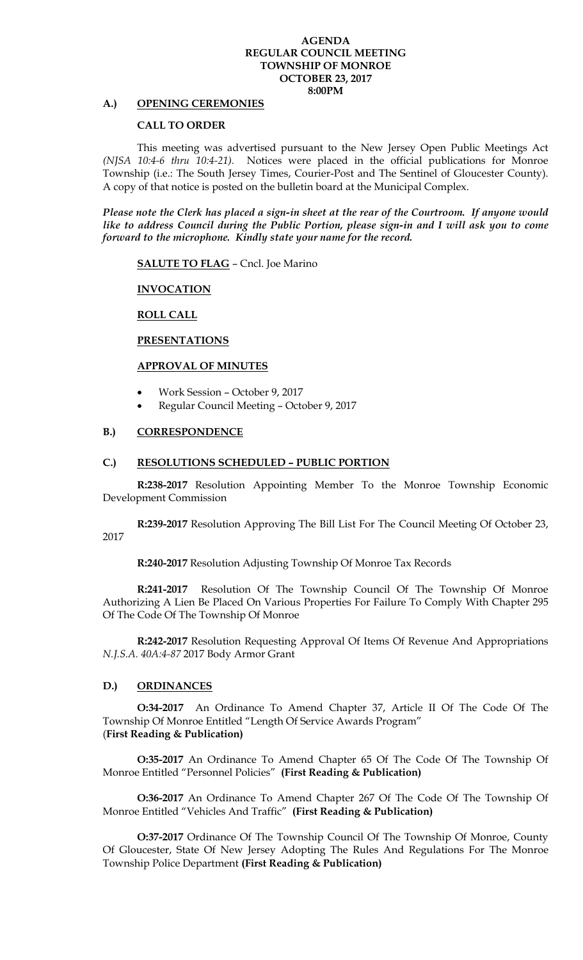#### **AGENDA REGULAR COUNCIL MEETING TOWNSHIP OF MONROE OCTOBER 23, 2017 8:00PM**

# **A.) OPENING CEREMONIES**

## **CALL TO ORDER**

This meeting was advertised pursuant to the New Jersey Open Public Meetings Act *(NJSA 10:4-6 thru 10:4-21).* Notices were placed in the official publications for Monroe Township (i.e.: The South Jersey Times, Courier-Post and The Sentinel of Gloucester County). A copy of that notice is posted on the bulletin board at the Municipal Complex.

*Please note the Clerk has placed a sign-in sheet at the rear of the Courtroom. If anyone would like to address Council during the Public Portion, please sign-in and I will ask you to come forward to the microphone. Kindly state your name for the record.* 

**SALUTE TO FLAG** – Cncl. Joe Marino

**INVOCATION**

## **ROLL CALL**

#### **PRESENTATIONS**

#### **APPROVAL OF MINUTES**

- Work Session October 9, 2017
- Regular Council Meeting October 9, 2017

#### **B.) CORRESPONDENCE**

#### **C.) RESOLUTIONS SCHEDULED – PUBLIC PORTION**

**R:238-2017** Resolution Appointing Member To the Monroe Township Economic Development Commission

**R:239-2017** Resolution Approving The Bill List For The Council Meeting Of October 23, 2017

**R:240-2017** Resolution Adjusting Township Of Monroe Tax Records

**R:241-2017** Resolution Of The Township Council Of The Township Of Monroe Authorizing A Lien Be Placed On Various Properties For Failure To Comply With Chapter 295 Of The Code Of The Township Of Monroe

**R:242-2017** Resolution Requesting Approval Of Items Of Revenue And Appropriations *N.J.S.A. 40A:4-87* 2017 Body Armor Grant

#### **D.) ORDINANCES**

**O:34-2017** An Ordinance To Amend Chapter 37, Article II Of The Code Of The Township Of Monroe Entitled "Length Of Service Awards Program" (**First Reading & Publication)**

**O:35-2017** An Ordinance To Amend Chapter 65 Of The Code Of The Township Of Monroe Entitled "Personnel Policies" **(First Reading & Publication)**

**O:36-2017** An Ordinance To Amend Chapter 267 Of The Code Of The Township Of Monroe Entitled "Vehicles And Traffic" **(First Reading & Publication)**

**O:37-2017** Ordinance Of The Township Council Of The Township Of Monroe, County Of Gloucester, State Of New Jersey Adopting The Rules And Regulations For The Monroe Township Police Department **(First Reading & Publication)**